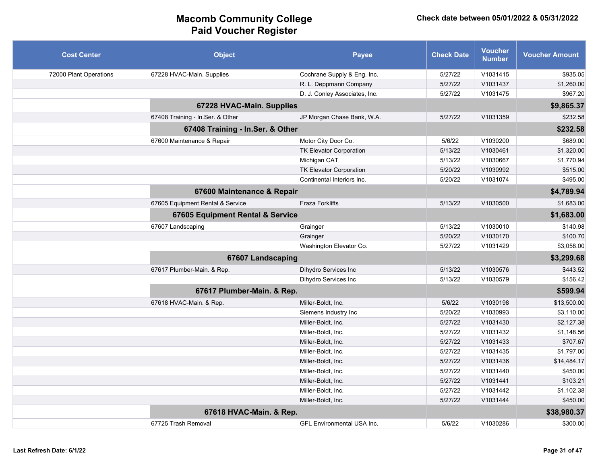| <b>Cost Center</b>     | <b>Object</b>                    | <b>Payee</b>                      | <b>Check Date</b> | <b>Voucher</b><br><b>Number</b> | <b>Voucher Amount</b> |
|------------------------|----------------------------------|-----------------------------------|-------------------|---------------------------------|-----------------------|
| 72000 Plant Operations | 67228 HVAC-Main. Supplies        | Cochrane Supply & Eng. Inc.       | 5/27/22           | V1031415                        | \$935.05              |
|                        |                                  | R. L. Deppmann Company            | 5/27/22           | V1031437                        | \$1,260.00            |
|                        |                                  | D. J. Conley Associates, Inc.     | 5/27/22           | V1031475                        | \$967.20              |
|                        | 67228 HVAC-Main. Supplies        |                                   |                   |                                 | \$9,865.37            |
|                        | 67408 Training - In Ser. & Other | JP Morgan Chase Bank, W.A.        | 5/27/22           | V1031359                        | \$232.58              |
|                        | 67408 Training - In.Ser. & Other |                                   |                   |                                 | \$232.58              |
|                        | 67600 Maintenance & Repair       | Motor City Door Co.               | 5/6/22            | V1030200                        | \$689.00              |
|                        |                                  | <b>TK Elevator Corporation</b>    | 5/13/22           | V1030461                        | \$1,320.00            |
|                        |                                  | Michigan CAT                      | 5/13/22           | V1030667                        | \$1,770.94            |
|                        |                                  | <b>TK Elevator Corporation</b>    | 5/20/22           | V1030992                        | \$515.00              |
|                        |                                  | Continental Interiors Inc.        | 5/20/22           | V1031074                        | \$495.00              |
|                        | 67600 Maintenance & Repair       |                                   |                   |                                 | \$4,789.94            |
|                        | 67605 Equipment Rental & Service | <b>Fraza Forklifts</b>            | 5/13/22           | V1030500                        | \$1,683.00            |
|                        | 67605 Equipment Rental & Service |                                   |                   |                                 | \$1,683.00            |
|                        | 67607 Landscaping                | Grainger                          | 5/13/22           | V1030010                        | \$140.98              |
|                        |                                  | Grainger                          | 5/20/22           | V1030170                        | \$100.70              |
|                        |                                  | Washington Elevator Co.           | 5/27/22           | V1031429                        | \$3,058.00            |
|                        | 67607 Landscaping                |                                   |                   |                                 | \$3,299.68            |
|                        | 67617 Plumber-Main. & Rep.       | Dihydro Services Inc              | 5/13/22           | V1030576                        | \$443.52              |
|                        |                                  | Dihydro Services Inc              | 5/13/22           | V1030579                        | \$156.42              |
|                        | 67617 Plumber-Main. & Rep.       |                                   |                   |                                 | \$599.94              |
|                        | 67618 HVAC-Main. & Rep.          | Miller-Boldt, Inc.                | 5/6/22            | V1030198                        | \$13,500.00           |
|                        |                                  | Siemens Industry Inc              | 5/20/22           | V1030993                        | \$3,110.00            |
|                        |                                  | Miller-Boldt, Inc.                | 5/27/22           | V1031430                        | \$2,127.38            |
|                        |                                  | Miller-Boldt, Inc.                | 5/27/22           | V1031432                        | \$1,148.56            |
|                        |                                  | Miller-Boldt, Inc.                | 5/27/22           | V1031433                        | \$707.67              |
|                        |                                  | Miller-Boldt, Inc.                | 5/27/22           | V1031435                        | \$1,797.00            |
|                        |                                  | Miller-Boldt, Inc.                | 5/27/22           | V1031436                        | \$14,484.17           |
|                        |                                  | Miller-Boldt, Inc.                | 5/27/22           | V1031440                        | \$450.00              |
|                        |                                  | Miller-Boldt, Inc.                | 5/27/22           | V1031441                        | \$103.21              |
|                        |                                  | Miller-Boldt, Inc.                | 5/27/22           | V1031442                        | \$1,102.38            |
|                        |                                  | Miller-Boldt, Inc.                | 5/27/22           | V1031444                        | \$450.00              |
|                        | 67618 HVAC-Main. & Rep.          |                                   |                   |                                 | \$38,980.37           |
|                        | 67725 Trash Removal              | <b>GFL Environmental USA Inc.</b> | 5/6/22            | V1030286                        | \$300.00              |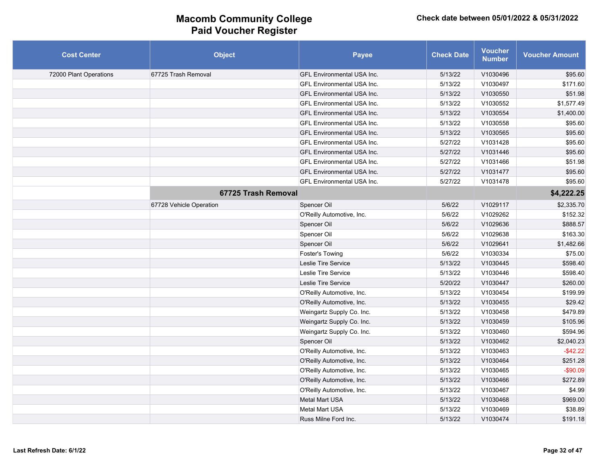| <b>Cost Center</b>     | <b>Object</b>           | <b>Payee</b>                      | <b>Check Date</b> | <b>Voucher</b><br><b>Number</b> | <b>Voucher Amount</b> |
|------------------------|-------------------------|-----------------------------------|-------------------|---------------------------------|-----------------------|
| 72000 Plant Operations | 67725 Trash Removal     | <b>GFL Environmental USA Inc.</b> | 5/13/22           | V1030496                        | \$95.60               |
|                        |                         | <b>GFL Environmental USA Inc.</b> | 5/13/22           | V1030497                        | \$171.60              |
|                        |                         | <b>GFL Environmental USA Inc.</b> | 5/13/22           | V1030550                        | \$51.98               |
|                        |                         | <b>GFL Environmental USA Inc.</b> | 5/13/22           | V1030552                        | \$1,577.49            |
|                        |                         | <b>GFL Environmental USA Inc.</b> | 5/13/22           | V1030554                        | \$1,400.00            |
|                        |                         | <b>GFL Environmental USA Inc.</b> | 5/13/22           | V1030558                        | \$95.60               |
|                        |                         | <b>GFL Environmental USA Inc.</b> | 5/13/22           | V1030565                        | \$95.60               |
|                        |                         | <b>GFL Environmental USA Inc.</b> | 5/27/22           | V1031428                        | \$95.60               |
|                        |                         | <b>GFL Environmental USA Inc.</b> | 5/27/22           | V1031446                        | \$95.60               |
|                        |                         | <b>GFL Environmental USA Inc.</b> | 5/27/22           | V1031466                        | \$51.98               |
|                        |                         | <b>GFL Environmental USA Inc.</b> | 5/27/22           | V1031477                        | \$95.60               |
|                        |                         | GFL Environmental USA Inc.        | 5/27/22           | V1031478                        | \$95.60               |
|                        | 67725 Trash Removal     |                                   |                   |                                 | \$4,222.25            |
|                        | 67728 Vehicle Operation | Spencer Oil                       | 5/6/22            | V1029117                        | \$2,335.70            |
|                        |                         | O'Reilly Automotive, Inc.         | 5/6/22            | V1029262                        | \$152.32              |
|                        |                         | Spencer Oil                       | 5/6/22            | V1029636                        | \$888.57              |
|                        |                         | Spencer Oil                       | 5/6/22            | V1029638                        | \$163.30              |
|                        |                         | Spencer Oil                       | 5/6/22            | V1029641                        | \$1,482.66            |
|                        |                         | Foster's Towing                   | 5/6/22            | V1030334                        | \$75.00               |
|                        |                         | Leslie Tire Service               | 5/13/22           | V1030445                        | \$598.40              |
|                        |                         | Leslie Tire Service               | 5/13/22           | V1030446                        | \$598.40              |
|                        |                         | Leslie Tire Service               | 5/20/22           | V1030447                        | \$260.00              |
|                        |                         | O'Reilly Automotive, Inc.         | 5/13/22           | V1030454                        | \$199.99              |
|                        |                         | O'Reilly Automotive, Inc.         | 5/13/22           | V1030455                        | \$29.42               |
|                        |                         | Weingartz Supply Co. Inc.         | 5/13/22           | V1030458                        | \$479.89              |
|                        |                         | Weingartz Supply Co. Inc.         | 5/13/22           | V1030459                        | \$105.96              |
|                        |                         | Weingartz Supply Co. Inc.         | 5/13/22           | V1030460                        | \$594.96              |
|                        |                         | Spencer Oil                       | 5/13/22           | V1030462                        | \$2,040.23            |
|                        |                         | O'Reilly Automotive, Inc.         | 5/13/22           | V1030463                        | $-$ \$42.22           |
|                        |                         | O'Reilly Automotive, Inc.         | 5/13/22           | V1030464                        | \$251.28              |
|                        |                         | O'Reilly Automotive, Inc.         | 5/13/22           | V1030465                        | $-$ \$90.09           |
|                        |                         | O'Reilly Automotive, Inc.         | 5/13/22           | V1030466                        | \$272.89              |
|                        |                         | O'Reilly Automotive, Inc.         | 5/13/22           | V1030467                        | \$4.99                |
|                        |                         | <b>Metal Mart USA</b>             | 5/13/22           | V1030468                        | \$969.00              |
|                        |                         | <b>Metal Mart USA</b>             | 5/13/22           | V1030469                        | \$38.89               |
|                        |                         | Russ Milne Ford Inc.              | 5/13/22           | V1030474                        | \$191.18              |
|                        |                         |                                   |                   |                                 |                       |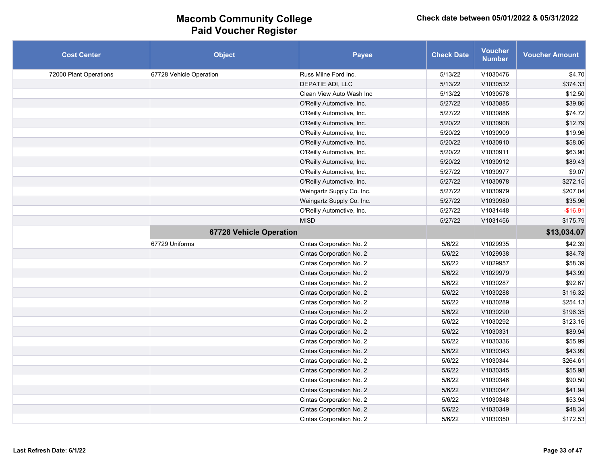| <b>Cost Center</b>     | <b>Object</b>                  | Payee                     | <b>Check Date</b> | <b>Voucher</b><br><b>Number</b> | <b>Voucher Amount</b> |
|------------------------|--------------------------------|---------------------------|-------------------|---------------------------------|-----------------------|
| 72000 Plant Operations | 67728 Vehicle Operation        | Russ Milne Ford Inc.      | 5/13/22           | V1030476                        | \$4.70                |
|                        |                                | DEPATIE ADI, LLC          | 5/13/22           | V1030532                        | \$374.33              |
|                        |                                | Clean View Auto Wash Inc  | 5/13/22           | V1030578                        | \$12.50               |
|                        |                                | O'Reilly Automotive, Inc. | 5/27/22           | V1030885                        | \$39.86               |
|                        |                                | O'Reilly Automotive, Inc. | 5/27/22           | V1030886                        | \$74.72               |
|                        |                                | O'Reilly Automotive, Inc. | 5/20/22           | V1030908                        | \$12.79               |
|                        |                                | O'Reilly Automotive, Inc. | 5/20/22           | V1030909                        | \$19.96               |
|                        |                                | O'Reilly Automotive, Inc. | 5/20/22           | V1030910                        | \$58.06               |
|                        |                                | O'Reilly Automotive, Inc. | 5/20/22           | V1030911                        | \$63.90               |
|                        |                                | O'Reilly Automotive, Inc. | 5/20/22           | V1030912                        | \$89.43               |
|                        |                                | O'Reilly Automotive, Inc. | 5/27/22           | V1030977                        | \$9.07                |
|                        |                                | O'Reilly Automotive, Inc. | 5/27/22           | V1030978                        | \$272.15              |
|                        |                                | Weingartz Supply Co. Inc. | 5/27/22           | V1030979                        | \$207.04              |
|                        |                                | Weingartz Supply Co. Inc. | 5/27/22           | V1030980                        | \$35.96               |
|                        |                                | O'Reilly Automotive, Inc. | 5/27/22           | V1031448                        | $-$16.91$             |
|                        |                                | <b>MISD</b>               | 5/27/22           | V1031456                        | \$175.79              |
|                        | <b>67728 Vehicle Operation</b> |                           |                   |                                 | \$13,034.07           |
|                        | 67729 Uniforms                 | Cintas Corporation No. 2  | 5/6/22            | V1029935                        | \$42.39               |
|                        |                                | Cintas Corporation No. 2  | 5/6/22            | V1029938                        | \$84.78               |
|                        |                                | Cintas Corporation No. 2  | 5/6/22            | V1029957                        | \$58.39               |
|                        |                                | Cintas Corporation No. 2  | 5/6/22            | V1029979                        | \$43.99               |
|                        |                                | Cintas Corporation No. 2  | 5/6/22            | V1030287                        | \$92.67               |
|                        |                                | Cintas Corporation No. 2  | 5/6/22            | V1030288                        | \$116.32              |
|                        |                                | Cintas Corporation No. 2  | 5/6/22            | V1030289                        | \$254.13              |
|                        |                                | Cintas Corporation No. 2  | 5/6/22            | V1030290                        | \$196.35              |
|                        |                                | Cintas Corporation No. 2  | 5/6/22            | V1030292                        | \$123.16              |
|                        |                                | Cintas Corporation No. 2  | 5/6/22            | V1030331                        | \$89.94               |
|                        |                                | Cintas Corporation No. 2  | 5/6/22            | V1030336                        | \$55.99               |
|                        |                                | Cintas Corporation No. 2  | 5/6/22            | V1030343                        | \$43.99               |
|                        |                                | Cintas Corporation No. 2  | 5/6/22            | V1030344                        | \$264.61              |
|                        |                                | Cintas Corporation No. 2  | 5/6/22            | V1030345                        | \$55.98               |
|                        |                                | Cintas Corporation No. 2  | 5/6/22            | V1030346                        | \$90.50               |
|                        |                                | Cintas Corporation No. 2  | 5/6/22            | V1030347                        | \$41.94               |
|                        |                                | Cintas Corporation No. 2  | 5/6/22            | V1030348                        | \$53.94               |
|                        |                                | Cintas Corporation No. 2  | 5/6/22            | V1030349                        | \$48.34               |
|                        |                                | Cintas Corporation No. 2  | 5/6/22            | V1030350                        | \$172.53              |
|                        |                                |                           |                   |                                 |                       |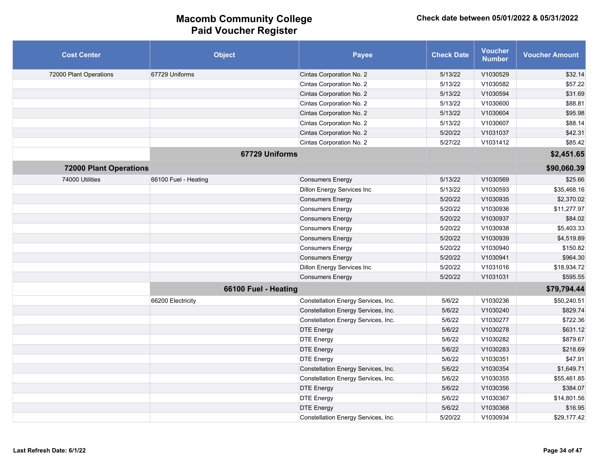| <b>Cost Center</b>            | <b>Object</b>        | <b>Payee</b>                        | <b>Check Date</b> | <b>Voucher</b><br><b>Number</b> | <b>Voucher Amount</b> |
|-------------------------------|----------------------|-------------------------------------|-------------------|---------------------------------|-----------------------|
| 72000 Plant Operations        | 67729 Uniforms       | Cintas Corporation No. 2            | 5/13/22           | V1030529                        | \$32.14               |
|                               |                      | Cintas Corporation No. 2            | 5/13/22           | V1030582                        | \$57.22               |
|                               |                      | Cintas Corporation No. 2            | 5/13/22           | V1030594                        | \$31.69               |
|                               |                      | Cintas Corporation No. 2            | 5/13/22           | V1030600                        | \$88.81               |
|                               |                      | Cintas Corporation No. 2            | 5/13/22           | V1030604                        | \$95.98               |
|                               |                      | Cintas Corporation No. 2            | 5/13/22           | V1030607                        | \$88.14               |
|                               |                      | Cintas Corporation No. 2            | 5/20/22           | V1031037                        | \$42.31               |
|                               |                      | Cintas Corporation No. 2            | 5/27/22           | V1031412                        | \$85.42               |
|                               | 67729 Uniforms       |                                     |                   |                                 | \$2,451.65            |
| <b>72000 Plant Operations</b> |                      |                                     |                   |                                 | \$90,060.39           |
| 74000 Utilities               | 66100 Fuel - Heating | <b>Consumers Energy</b>             | 5/13/22           | V1030569                        | \$25.66               |
|                               |                      | <b>Dillon Energy Services Inc</b>   | 5/13/22           | V1030593                        | \$35,468.16           |
|                               |                      | <b>Consumers Energy</b>             | 5/20/22           | V1030935                        | \$2,370.02            |
|                               |                      | <b>Consumers Energy</b>             | 5/20/22           | V1030936                        | \$11,277.97           |
|                               |                      | <b>Consumers Energy</b>             | 5/20/22           | V1030937                        | \$84.02               |
|                               |                      | <b>Consumers Energy</b>             | 5/20/22           | V1030938                        | \$5,403.33            |
|                               |                      | <b>Consumers Energy</b>             | 5/20/22           | V1030939                        | \$4,519.89            |
|                               |                      | <b>Consumers Energy</b>             | 5/20/22           | V1030940                        | \$150.82              |
|                               |                      | <b>Consumers Energy</b>             | 5/20/22           | V1030941                        | \$964.30              |
|                               |                      | Dillon Energy Services Inc          | 5/20/22           | V1031016                        | \$18,934.72           |
|                               |                      | <b>Consumers Energy</b>             | 5/20/22           | V1031031                        | \$595.55              |
|                               | 66100 Fuel - Heating |                                     |                   |                                 | \$79,794.44           |
|                               | 66200 Electricity    | Constellation Energy Services, Inc. | 5/6/22            | V1030236                        | \$50,240.51           |
|                               |                      | Constellation Energy Services, Inc. | 5/6/22            | V1030240                        | \$829.74              |
|                               |                      | Constellation Energy Services, Inc. | 5/6/22            | V1030277                        | \$722.36              |
|                               |                      | <b>DTE Energy</b>                   | 5/6/22            | V1030278                        | \$631.12              |
|                               |                      | <b>DTE Energy</b>                   | 5/6/22            | V1030282                        | \$879.67              |
|                               |                      | <b>DTE Energy</b>                   | 5/6/22            | V1030283                        | \$218.69              |
|                               |                      | <b>DTE Energy</b>                   | 5/6/22            | V1030351                        | \$47.91               |
|                               |                      | Constellation Energy Services, Inc. | 5/6/22            | V1030354                        | \$1,649.71            |
|                               |                      | Constellation Energy Services, Inc. | 5/6/22            | V1030355                        | \$55,461.85           |
|                               |                      | <b>DTE Energy</b>                   | 5/6/22            | V1030356                        | \$384.07              |
|                               |                      | <b>DTE Energy</b>                   | 5/6/22            | V1030367                        | \$14,801.56           |
|                               |                      | <b>DTE Energy</b>                   | 5/6/22            | V1030368                        | \$16.95               |
|                               |                      | Constellation Energy Services, Inc. | 5/20/22           | V1030934                        | \$29,177.42           |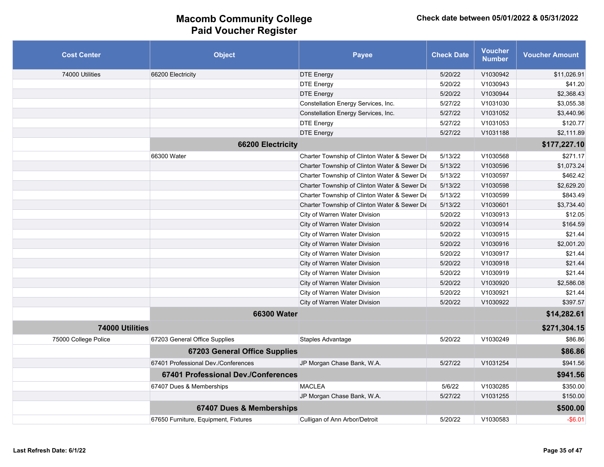| <b>Cost Center</b>   | <b>Object</b>                        | <b>Payee</b>                                 | <b>Check Date</b> | <b>Voucher</b><br><b>Number</b> | <b>Voucher Amount</b> |
|----------------------|--------------------------------------|----------------------------------------------|-------------------|---------------------------------|-----------------------|
| 74000 Utilities      | 66200 Electricity                    | <b>DTE Energy</b>                            | 5/20/22           | V1030942                        | \$11,026.91           |
|                      |                                      | <b>DTE Energy</b>                            | 5/20/22           | V1030943                        | \$41.20               |
|                      |                                      | <b>DTE Energy</b>                            | 5/20/22           | V1030944                        | \$2,368.43            |
|                      |                                      | Constellation Energy Services, Inc.          | 5/27/22           | V1031030                        | \$3,055.38            |
|                      |                                      | Constellation Energy Services, Inc.          | 5/27/22           | V1031052                        | \$3,440.96            |
|                      |                                      | <b>DTE Energy</b>                            | 5/27/22           | V1031053                        | \$120.77              |
|                      |                                      | <b>DTE Energy</b>                            | 5/27/22           | V1031188                        | \$2,111.89            |
|                      | 66200 Electricity                    |                                              |                   |                                 | \$177,227.10          |
|                      | 66300 Water                          | Charter Township of Clinton Water & Sewer De | 5/13/22           | V1030568                        | \$271.17              |
|                      |                                      | Charter Township of Clinton Water & Sewer De | 5/13/22           | V1030596                        | \$1,073.24            |
|                      |                                      | Charter Township of Clinton Water & Sewer De | 5/13/22           | V1030597                        | \$462.42              |
|                      |                                      | Charter Township of Clinton Water & Sewer De | 5/13/22           | V1030598                        | \$2,629.20            |
|                      |                                      | Charter Township of Clinton Water & Sewer De | 5/13/22           | V1030599                        | \$843.49              |
|                      |                                      | Charter Township of Clinton Water & Sewer De | 5/13/22           | V1030601                        | \$3,734.40            |
|                      |                                      | City of Warren Water Division                | 5/20/22           | V1030913                        | \$12.05               |
|                      |                                      | City of Warren Water Division                | 5/20/22           | V1030914                        | \$164.59              |
|                      |                                      | City of Warren Water Division                | 5/20/22           | V1030915                        | \$21.44               |
|                      |                                      | City of Warren Water Division                | 5/20/22           | V1030916                        | \$2,001.20            |
|                      |                                      | City of Warren Water Division                | 5/20/22           | V1030917                        | \$21.44               |
|                      |                                      | City of Warren Water Division                | 5/20/22           | V1030918                        | \$21.44               |
|                      |                                      | City of Warren Water Division                | 5/20/22           | V1030919                        | \$21.44               |
|                      |                                      | City of Warren Water Division                | 5/20/22           | V1030920                        | \$2,586.08            |
|                      |                                      | City of Warren Water Division                | 5/20/22           | V1030921                        | \$21.44               |
|                      |                                      | City of Warren Water Division                | 5/20/22           | V1030922                        | \$397.57              |
|                      | <b>66300 Water</b>                   |                                              |                   |                                 | \$14,282.61           |
| 74000 Utilities      |                                      |                                              |                   |                                 | \$271,304.15          |
| 75000 College Police | 67203 General Office Supplies        | Staples Advantage                            | 5/20/22           | V1030249                        | \$86.86               |
|                      | <b>67203 General Office Supplies</b> |                                              |                   |                                 | \$86.86               |
|                      | 67401 Professional Dev./Conferences  | JP Morgan Chase Bank, W.A.                   | 5/27/22           | V1031254                        | \$941.56              |
|                      | 67401 Professional Dev./Conferences  |                                              |                   |                                 | \$941.56              |
|                      | 67407 Dues & Memberships             | <b>MACLEA</b>                                | 5/6/22            | V1030285                        | \$350.00              |
|                      |                                      | JP Morgan Chase Bank, W.A.                   | 5/27/22           | V1031255                        | \$150.00              |
|                      | 67407 Dues & Memberships             |                                              |                   |                                 | \$500.00              |
|                      | 67650 Furniture, Equipment, Fixtures | Culligan of Ann Arbor/Detroit                | 5/20/22           | V1030583                        | $-$6.01$              |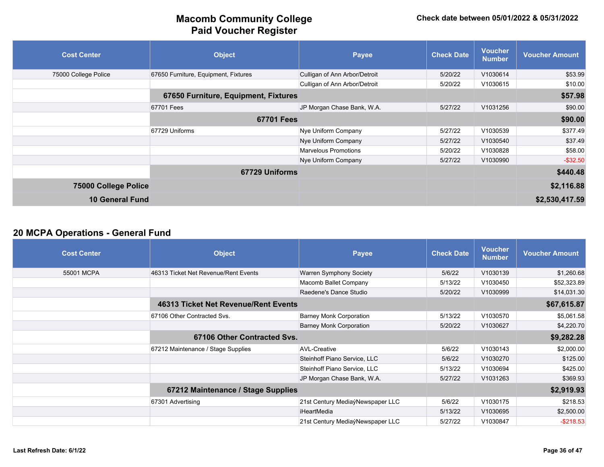| <b>Cost Center</b>     | <b>Object</b>                        | Payee                         | <b>Check Date</b> | <b>Voucher</b><br><b>Number</b> | <b>Voucher Amount</b> |
|------------------------|--------------------------------------|-------------------------------|-------------------|---------------------------------|-----------------------|
| 75000 College Police   | 67650 Furniture, Equipment, Fixtures | Culligan of Ann Arbor/Detroit | 5/20/22           | V1030614                        | \$53.99               |
|                        |                                      | Culligan of Ann Arbor/Detroit | 5/20/22           | V1030615                        | \$10.00               |
|                        | 67650 Furniture, Equipment, Fixtures |                               |                   |                                 | \$57.98               |
|                        | 67701 Fees                           | JP Morgan Chase Bank, W.A.    | 5/27/22           | V1031256                        | \$90.00               |
|                        | <b>67701 Fees</b>                    |                               |                   |                                 | \$90.00               |
|                        | 67729 Uniforms                       | Nye Uniform Company           | 5/27/22           | V1030539                        | \$377.49              |
|                        |                                      | Nye Uniform Company           | 5/27/22           | V1030540                        | \$37.49               |
|                        |                                      | <b>Marvelous Promotions</b>   | 5/20/22           | V1030828                        | \$58.00               |
|                        |                                      | Nye Uniform Company           | 5/27/22           | V1030990                        | $-$ \$32.50           |
|                        | 67729 Uniforms                       |                               |                   |                                 | \$440.48              |
| 75000 College Police   |                                      |                               |                   |                                 | \$2,116.88            |
| <b>10 General Fund</b> |                                      |                               |                   |                                 | \$2,530,417.59        |

### **20 MCPA Operations - General Fund**

| <b>Cost Center</b> | <b>Object</b>                        | <b>Payee</b>                     | <b>Check Date</b> | <b>Voucher</b><br><b>Number</b> | <b>Voucher Amount</b> |
|--------------------|--------------------------------------|----------------------------------|-------------------|---------------------------------|-----------------------|
| 55001 MCPA         | 46313 Ticket Net Revenue/Rent Events | Warren Symphony Society          | 5/6/22            | V1030139                        | \$1,260.68            |
|                    |                                      | Macomb Ballet Company            | 5/13/22           | V1030450                        | \$52,323.89           |
|                    |                                      | Raedene's Dance Studio           | 5/20/22           | V1030999                        | \$14,031.30           |
|                    | 46313 Ticket Net Revenue/Rent Events |                                  |                   |                                 | \$67,615.87           |
|                    | 67106 Other Contracted Svs.          | <b>Barney Monk Corporation</b>   | 5/13/22           | V1030570                        | \$5,061.58            |
|                    |                                      | <b>Barney Monk Corporation</b>   | 5/20/22           | V1030627                        | \$4,220.70            |
|                    | 67106 Other Contracted Svs.          |                                  |                   |                                 | \$9,282.28            |
|                    | 67212 Maintenance / Stage Supplies   | <b>AVL-Creative</b>              | 5/6/22            | V1030143                        | \$2,000.00            |
|                    |                                      | Steinhoff Piano Service, LLC     | 5/6/22            | V1030270                        | \$125.00              |
|                    |                                      | Steinhoff Piano Service, LLC     | 5/13/22           | V1030694                        | \$425.00              |
|                    |                                      | JP Morgan Chase Bank, W.A.       | 5/27/22           | V1031263                        | \$369.93              |
|                    | 67212 Maintenance / Stage Supplies   |                                  |                   |                                 | \$2,919.93            |
|                    | 67301 Advertising                    | 21st Century MediaýNewspaper LLC | 5/6/22            | V1030175                        | \$218.53              |
|                    |                                      | iHeartMedia                      | 5/13/22           | V1030695                        | \$2,500.00            |
|                    |                                      | 21st Century MediaýNewspaper LLC | 5/27/22           | V1030847                        | $-$ \$218.53          |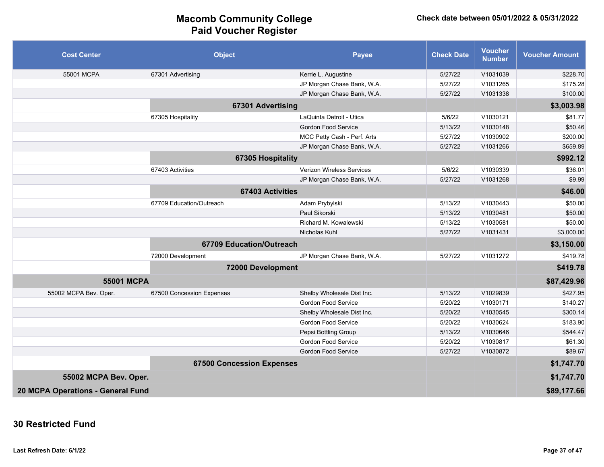| <b>Cost Center</b>                | <b>Object</b>                    | <b>Payee</b>                | <b>Check Date</b> | <b>Voucher</b><br><b>Number</b> | <b>Voucher Amount</b> |
|-----------------------------------|----------------------------------|-----------------------------|-------------------|---------------------------------|-----------------------|
| 55001 MCPA                        | 67301 Advertising                | Kerrie L. Augustine         | 5/27/22           | V1031039                        | \$228.70              |
|                                   |                                  | JP Morgan Chase Bank, W.A.  | 5/27/22           | V1031265                        | \$175.28              |
|                                   |                                  | JP Morgan Chase Bank, W.A.  | 5/27/22           | V1031338                        | \$100.00              |
|                                   | 67301 Advertising                |                             |                   |                                 | \$3,003.98            |
|                                   | 67305 Hospitality                | LaQuinta Detroit - Utica    | 5/6/22            | V1030121                        | \$81.77               |
|                                   |                                  | Gordon Food Service         | 5/13/22           | V1030148                        | \$50.46               |
|                                   |                                  | MCC Petty Cash - Perf. Arts | 5/27/22           | V1030902                        | \$200.00              |
|                                   |                                  | JP Morgan Chase Bank, W.A.  | 5/27/22           | V1031266                        | \$659.89              |
|                                   | 67305 Hospitality                |                             |                   |                                 | \$992.12              |
|                                   | 67403 Activities                 | Verizon Wireless Services   | 5/6/22            | V1030339                        | \$36.01               |
|                                   |                                  | JP Morgan Chase Bank, W.A.  | 5/27/22           | V1031268                        | \$9.99                |
|                                   | <b>67403 Activities</b>          |                             |                   |                                 | \$46.00               |
|                                   | 67709 Education/Outreach         | Adam Prybylski              | 5/13/22           | V1030443                        | \$50.00               |
|                                   |                                  | Paul Sikorski               | 5/13/22           | V1030481                        | \$50.00               |
|                                   |                                  | Richard M. Kowalewski       | 5/13/22           | V1030581                        | \$50.00               |
|                                   |                                  | Nicholas Kuhl               | 5/27/22           | V1031431                        | \$3,000.00            |
|                                   | 67709 Education/Outreach         |                             |                   |                                 | \$3,150.00            |
|                                   | 72000 Development                | JP Morgan Chase Bank, W.A.  | 5/27/22           | V1031272                        | \$419.78              |
|                                   | 72000 Development                |                             |                   |                                 | \$419.78              |
| <b>55001 MCPA</b>                 |                                  |                             |                   |                                 | \$87,429.96           |
| 55002 MCPA Bev. Oper.             | 67500 Concession Expenses        | Shelby Wholesale Dist Inc.  | 5/13/22           | V1029839                        | \$427.95              |
|                                   |                                  | Gordon Food Service         | 5/20/22           | V1030171                        | \$140.27              |
|                                   |                                  | Shelby Wholesale Dist Inc.  | 5/20/22           | V1030545                        | \$300.14              |
|                                   |                                  | Gordon Food Service         | 5/20/22           | V1030624                        | \$183.90              |
|                                   |                                  | Pepsi Bottling Group        | 5/13/22           | V1030646                        | \$544.47              |
|                                   |                                  | Gordon Food Service         | 5/20/22           | V1030817                        | \$61.30               |
|                                   |                                  | Gordon Food Service         | 5/27/22           | V1030872                        | \$89.67               |
|                                   | <b>67500 Concession Expenses</b> |                             |                   |                                 | \$1,747.70            |
| 55002 MCPA Bev. Oper.             |                                  |                             |                   |                                 | \$1,747.70            |
| 20 MCPA Operations - General Fund |                                  |                             |                   |                                 | \$89,177.66           |

### **30 Restricted Fund**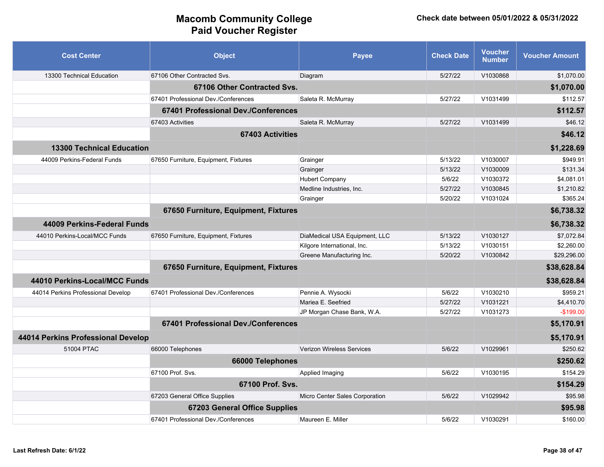| <b>Cost Center</b>                 | <b>Object</b>                        | <b>Payee</b>                   | <b>Check Date</b> | Voucher<br><b>Number</b> | <b>Voucher Amount</b> |
|------------------------------------|--------------------------------------|--------------------------------|-------------------|--------------------------|-----------------------|
| 13300 Technical Education          | 67106 Other Contracted Svs.          | Diagram                        | 5/27/22           | V1030868                 | \$1.070.00            |
|                                    | 67106 Other Contracted Svs.          |                                |                   |                          | \$1,070.00            |
|                                    | 67401 Professional Dev./Conferences  | Saleta R. McMurray             | 5/27/22           | V1031499                 | \$112.57              |
|                                    | 67401 Professional Dev./Conferences  |                                |                   |                          | \$112.57              |
|                                    | 67403 Activities                     | Saleta R. McMurray             | 5/27/22           | V1031499                 | \$46.12               |
|                                    | <b>67403 Activities</b>              |                                |                   |                          | \$46.12               |
| <b>13300 Technical Education</b>   |                                      |                                |                   |                          | \$1,228.69            |
| 44009 Perkins-Federal Funds        | 67650 Furniture, Equipment, Fixtures | Grainger                       | 5/13/22           | V1030007                 | \$949.91              |
|                                    |                                      | Grainger                       | 5/13/22           | V1030009                 | \$131.34              |
|                                    |                                      | <b>Hubert Company</b>          | 5/6/22            | V1030372                 | \$4,081.01            |
|                                    |                                      | Medline Industries, Inc.       | 5/27/22           | V1030845                 | \$1,210.82            |
|                                    |                                      | Grainger                       | 5/20/22           | V1031024                 | \$365.24              |
|                                    | 67650 Furniture, Equipment, Fixtures |                                |                   |                          | \$6,738.32            |
| 44009 Perkins-Federal Funds        |                                      |                                |                   |                          | \$6,738.32            |
| 44010 Perkins-Local/MCC Funds      | 67650 Furniture, Equipment, Fixtures | DiaMedical USA Equipment, LLC  | 5/13/22           | V1030127                 | \$7,072.84            |
|                                    |                                      | Kilgore International, Inc.    | 5/13/22           | V1030151                 | \$2.260.00            |
|                                    |                                      | Greene Manufacturing Inc.      | 5/20/22           | V1030842                 | \$29,296.00           |
|                                    | 67650 Furniture, Equipment, Fixtures |                                |                   |                          | \$38,628.84           |
| 44010 Perkins-Local/MCC Funds      |                                      |                                |                   |                          | \$38,628.84           |
| 44014 Perkins Professional Develop | 67401 Professional Dev./Conferences  | Pennie A. Wysocki              | 5/6/22            | V1030210                 | \$959.21              |
|                                    |                                      | Mariea E. Seefried             | 5/27/22           | V1031221                 | \$4,410.70            |
|                                    |                                      | JP Morgan Chase Bank, W.A.     | 5/27/22           | V1031273                 | $-$199.00$            |
|                                    | 67401 Professional Dev./Conferences  |                                |                   |                          | \$5,170.91            |
| 44014 Perkins Professional Develop |                                      |                                |                   |                          | \$5,170.91            |
| 51004 PTAC                         | 66000 Telephones                     | Verizon Wireless Services      | 5/6/22            | V1029961                 | \$250.62              |
|                                    | 66000 Telephones                     |                                |                   |                          | \$250.62              |
|                                    | 67100 Prof. Svs.                     | Applied Imaging                | 5/6/22            | V1030195                 | \$154.29              |
|                                    | 67100 Prof. Svs.                     |                                |                   |                          | \$154.29              |
|                                    | 67203 General Office Supplies        | Micro Center Sales Corporation | 5/6/22            | V1029942                 | \$95.98               |
|                                    | <b>67203 General Office Supplies</b> |                                |                   |                          | \$95.98               |
|                                    | 67401 Professional Dev./Conferences  | Maureen E. Miller              | 5/6/22            | V1030291                 | \$160.00              |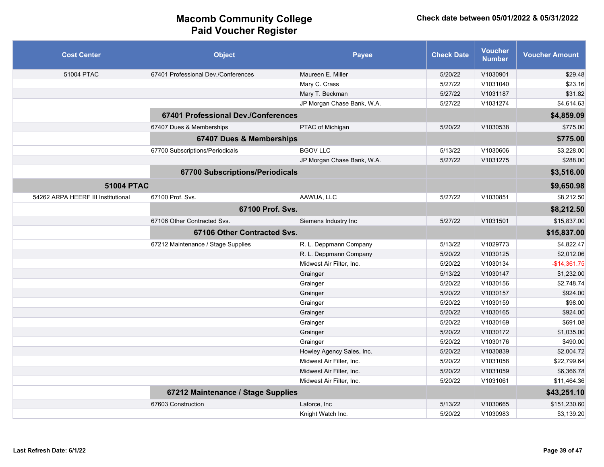| <b>Cost Center</b>                 | <b>Object</b>                          | Payee                      | <b>Check Date</b> | <b>Voucher</b><br><b>Number</b> | <b>Voucher Amount</b> |
|------------------------------------|----------------------------------------|----------------------------|-------------------|---------------------------------|-----------------------|
| 51004 PTAC                         | 67401 Professional Dev./Conferences    | Maureen E. Miller          | 5/20/22           | V1030901                        | \$29.48               |
|                                    |                                        | Mary C. Crass              | 5/27/22           | V1031040                        | \$23.16               |
|                                    |                                        | Mary T. Beckman            | 5/27/22           | V1031187                        | \$31.82               |
|                                    |                                        | JP Morgan Chase Bank, W.A. | 5/27/22           | V1031274                        | \$4.614.63            |
|                                    | 67401 Professional Dev./Conferences    |                            |                   |                                 | \$4,859.09            |
|                                    | 67407 Dues & Memberships               | PTAC of Michigan           | 5/20/22           | V1030538                        | \$775.00              |
|                                    | 67407 Dues & Memberships               |                            |                   |                                 | \$775.00              |
|                                    | 67700 Subscriptions/Periodicals        | <b>BGOV LLC</b>            | 5/13/22           | V1030606                        | \$3,228.00            |
|                                    |                                        | JP Morgan Chase Bank, W.A. | 5/27/22           | V1031275                        | \$288.00              |
|                                    | <b>67700 Subscriptions/Periodicals</b> |                            |                   |                                 | \$3,516.00            |
| <b>51004 PTAC</b>                  |                                        |                            |                   |                                 | \$9,650.98            |
| 54262 ARPA HEERF III Institutional | 67100 Prof. Svs.                       | AAWUA, LLC                 | 5/27/22           | V1030851                        | \$8,212.50            |
|                                    | 67100 Prof. Svs.                       |                            |                   |                                 | \$8,212.50            |
|                                    | 67106 Other Contracted Svs.            | Siemens Industry Inc       | 5/27/22           | V1031501                        | \$15,837.00           |
|                                    | 67106 Other Contracted Svs.            |                            |                   |                                 | \$15,837.00           |
|                                    | 67212 Maintenance / Stage Supplies     | R. L. Deppmann Company     | 5/13/22           | V1029773                        | \$4,822.47            |
|                                    |                                        | R. L. Deppmann Company     | 5/20/22           | V1030125                        | \$2,012.06            |
|                                    |                                        | Midwest Air Filter, Inc.   | 5/20/22           | V1030134                        | $-$14,361.75$         |
|                                    |                                        | Grainger                   | 5/13/22           | V1030147                        | \$1,232.00            |
|                                    |                                        | Grainger                   | 5/20/22           | V1030156                        | \$2,748.74            |
|                                    |                                        | Grainger                   | 5/20/22           | V1030157                        | \$924.00              |
|                                    |                                        | Grainger                   | 5/20/22           | V1030159                        | \$98.00               |
|                                    |                                        | Grainger                   | 5/20/22           | V1030165                        | \$924.00              |
|                                    |                                        | Grainger                   | 5/20/22           | V1030169                        | \$691.08              |
|                                    |                                        | Grainger                   | 5/20/22           | V1030172                        | \$1,035.00            |
|                                    |                                        | Grainger                   | 5/20/22           | V1030176                        | \$490.00              |
|                                    |                                        | Howley Agency Sales, Inc.  | 5/20/22           | V1030839                        | \$2,004.72            |
|                                    |                                        | Midwest Air Filter, Inc.   | 5/20/22           | V1031058                        | \$22,799.64           |
|                                    |                                        | Midwest Air Filter, Inc.   | 5/20/22           | V1031059                        | \$6,366.78            |
|                                    |                                        | Midwest Air Filter, Inc.   | 5/20/22           | V1031061                        | \$11,464.36           |
|                                    | 67212 Maintenance / Stage Supplies     |                            |                   |                                 | \$43,251.10           |
|                                    | 67603 Construction                     | Laforce, Inc.              | 5/13/22           | V1030665                        | \$151,230.60          |
|                                    |                                        | Knight Watch Inc.          | 5/20/22           | V1030983                        | \$3,139.20            |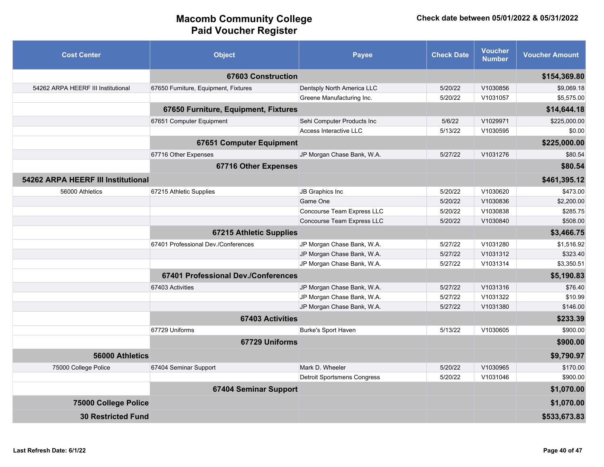| <b>Cost Center</b>                 | <b>Object</b>                        | <b>Payee</b>                       | <b>Check Date</b> | <b>Voucher</b><br><b>Number</b> | <b>Voucher Amount</b> |
|------------------------------------|--------------------------------------|------------------------------------|-------------------|---------------------------------|-----------------------|
|                                    | 67603 Construction                   |                                    |                   |                                 | \$154,369.80          |
| 54262 ARPA HEERF III Institutional | 67650 Furniture, Equipment, Fixtures | Dentsply North America LLC         | 5/20/22           | V1030856                        | \$9,069.18            |
|                                    |                                      | Greene Manufacturing Inc.          | 5/20/22           | V1031057                        | \$5,575.00            |
|                                    | 67650 Furniture, Equipment, Fixtures |                                    |                   |                                 | \$14,644.18           |
|                                    | 67651 Computer Equipment             | Sehi Computer Products Inc         | 5/6/22            | V1029971                        | \$225,000.00          |
|                                    |                                      | Access Interactive LLC             | 5/13/22           | V1030595                        | \$0.00                |
|                                    | 67651 Computer Equipment             |                                    |                   |                                 | \$225,000.00          |
|                                    | 67716 Other Expenses                 | JP Morgan Chase Bank, W.A.         | 5/27/22           | V1031276                        | \$80.54               |
|                                    | 67716 Other Expenses                 |                                    |                   |                                 | \$80.54               |
| 54262 ARPA HEERF III Institutional |                                      |                                    |                   |                                 | \$461,395.12          |
| 56000 Athletics                    | 67215 Athletic Supplies              | JB Graphics Inc                    | 5/20/22           | V1030620                        | \$473.00              |
|                                    |                                      | Game One                           | 5/20/22           | V1030836                        | \$2,200.00            |
|                                    |                                      | Concourse Team Express LLC         | 5/20/22           | V1030838                        | \$285.75              |
|                                    |                                      | Concourse Team Express LLC         | 5/20/22           | V1030840                        | \$508.00              |
|                                    | <b>67215 Athletic Supplies</b>       |                                    |                   |                                 | \$3,466.75            |
|                                    | 67401 Professional Dev./Conferences  | JP Morgan Chase Bank, W.A.         | 5/27/22           | V1031280                        | \$1,516.92            |
|                                    |                                      | JP Morgan Chase Bank, W.A.         | 5/27/22           | V1031312                        | \$323.40              |
|                                    |                                      | JP Morgan Chase Bank, W.A.         | 5/27/22           | V1031314                        | \$3,350.51            |
|                                    | 67401 Professional Dev./Conferences  |                                    |                   |                                 | \$5,190.83            |
|                                    | 67403 Activities                     | JP Morgan Chase Bank, W.A.         | 5/27/22           | V1031316                        | \$76.40               |
|                                    |                                      | JP Morgan Chase Bank, W.A.         | 5/27/22           | V1031322                        | \$10.99               |
|                                    |                                      | JP Morgan Chase Bank, W.A.         | 5/27/22           | V1031380                        | \$146.00              |
|                                    | <b>67403 Activities</b>              |                                    |                   |                                 | \$233.39              |
|                                    | 67729 Uniforms                       | Burke's Sport Haven                | 5/13/22           | V1030605                        | \$900.00              |
|                                    | 67729 Uniforms                       |                                    |                   |                                 | \$900.00              |
| 56000 Athletics                    |                                      |                                    |                   |                                 | \$9,790.97            |
| 75000 College Police               | 67404 Seminar Support                | Mark D. Wheeler                    | 5/20/22           | V1030965                        | \$170.00              |
|                                    |                                      | <b>Detroit Sportsmens Congress</b> | 5/20/22           | V1031046                        | \$900.00              |
|                                    | 67404 Seminar Support                |                                    |                   |                                 | \$1,070.00            |
| 75000 College Police               |                                      |                                    |                   |                                 | \$1,070.00            |
| <b>30 Restricted Fund</b>          |                                      |                                    |                   |                                 | \$533,673.83          |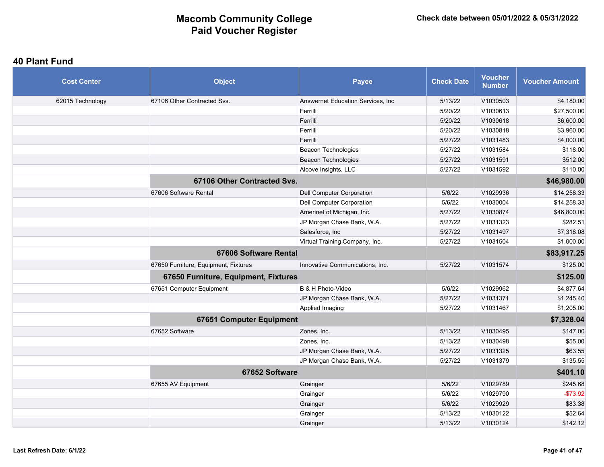#### **40 Plant Fund**

| <b>Cost Center</b> | <b>Object</b>                        | <b>Payee</b>                       | <b>Check Date</b> | <b>Voucher</b><br><b>Number</b> | <b>Voucher Amount</b> |
|--------------------|--------------------------------------|------------------------------------|-------------------|---------------------------------|-----------------------|
| 62015 Technology   | 67106 Other Contracted Svs.          | Answernet Education Services, Inc. | 5/13/22           | V1030503                        | \$4,180.00            |
|                    |                                      | Ferrilli                           | 5/20/22           | V1030613                        | \$27,500.00           |
|                    |                                      | Ferrilli                           | 5/20/22           | V1030618                        | \$6,600.00            |
|                    |                                      | Ferrilli                           | 5/20/22           | V1030818                        | \$3,960.00            |
|                    |                                      | Ferrilli                           | 5/27/22           | V1031483                        | \$4,000.00            |
|                    |                                      | <b>Beacon Technologies</b>         | 5/27/22           | V1031584                        | \$118.00              |
|                    |                                      | Beacon Technologies                | 5/27/22           | V1031591                        | \$512.00              |
|                    |                                      | Alcove Insights, LLC               | 5/27/22           | V1031592                        | \$110.00              |
|                    | 67106 Other Contracted Svs.          |                                    |                   |                                 | \$46,980.00           |
|                    | 67606 Software Rental                | Dell Computer Corporation          | 5/6/22            | V1029936                        | \$14,258.33           |
|                    |                                      | Dell Computer Corporation          | 5/6/22            | V1030004                        | \$14,258.33           |
|                    |                                      | Amerinet of Michigan, Inc.         | 5/27/22           | V1030874                        | \$46,800.00           |
|                    |                                      | JP Morgan Chase Bank, W.A.         | 5/27/22           | V1031323                        | \$282.51              |
|                    |                                      | Salesforce, Inc                    | 5/27/22           | V1031497                        | \$7,318.08            |
|                    |                                      | Virtual Training Company, Inc.     | 5/27/22           | V1031504                        | \$1,000.00            |
|                    | <b>67606 Software Rental</b>         |                                    |                   |                                 | \$83,917.25           |
|                    | 67650 Furniture, Equipment, Fixtures | Innovative Communications, Inc.    | 5/27/22           | V1031574                        | \$125.00              |
|                    | 67650 Furniture, Equipment, Fixtures |                                    |                   |                                 | \$125.00              |
|                    | 67651 Computer Equipment             | B & H Photo-Video                  | 5/6/22            | V1029962                        | \$4,877.64            |
|                    |                                      | JP Morgan Chase Bank, W.A.         | 5/27/22           | V1031371                        | \$1,245.40            |
|                    |                                      | Applied Imaging                    | 5/27/22           | V1031467                        | \$1,205.00            |
|                    | 67651 Computer Equipment             |                                    |                   |                                 | \$7,328.04            |
|                    | 67652 Software                       | Zones, Inc.                        | 5/13/22           | V1030495                        | \$147.00              |
|                    |                                      | Zones, Inc.                        | 5/13/22           | V1030498                        | \$55.00               |
|                    |                                      | JP Morgan Chase Bank, W.A.         | 5/27/22           | V1031325                        | \$63.55               |
|                    |                                      | JP Morgan Chase Bank, W.A.         | 5/27/22           | V1031379                        | \$135.55              |
|                    | 67652 Software                       |                                    |                   |                                 | \$401.10              |
|                    | 67655 AV Equipment                   | Grainger                           | 5/6/22            | V1029789                        | \$245.68              |
|                    |                                      | Grainger                           | 5/6/22            | V1029790                        | $-$73.92$             |
|                    |                                      | Grainger                           | 5/6/22            | V1029929                        | \$83.38               |
|                    |                                      | Grainger                           | 5/13/22           | V1030122                        | \$52.64               |
|                    |                                      | Grainger                           | 5/13/22           | V1030124                        | \$142.12              |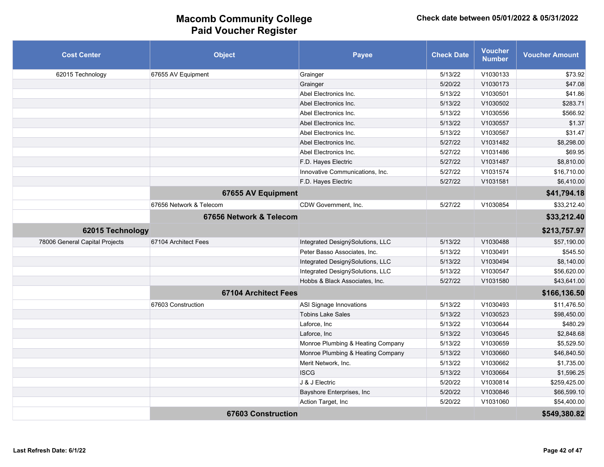| <b>Cost Center</b>             | <b>Object</b>               | <b>Payee</b>                      | <b>Check Date</b> | <b>Voucher</b><br><b>Number</b> | <b>Voucher Amount</b> |
|--------------------------------|-----------------------------|-----------------------------------|-------------------|---------------------------------|-----------------------|
| 62015 Technology               | 67655 AV Equipment          | Grainger                          | 5/13/22           | V1030133                        | \$73.92               |
|                                |                             | Grainger                          | 5/20/22           | V1030173                        | \$47.08               |
|                                |                             | Abel Electronics Inc.             | 5/13/22           | V1030501                        | \$41.86               |
|                                |                             | Abel Electronics Inc.             | 5/13/22           | V1030502                        | \$283.71              |
|                                |                             | Abel Electronics Inc.             | 5/13/22           | V1030556                        | \$566.92              |
|                                |                             | Abel Electronics Inc.             | 5/13/22           | V1030557                        | \$1.37                |
|                                |                             | Abel Electronics Inc.             | 5/13/22           | V1030567                        | \$31.47               |
|                                |                             | Abel Electronics Inc.             | 5/27/22           | V1031482                        | \$8,298.00            |
|                                |                             | Abel Electronics Inc.             | 5/27/22           | V1031486                        | \$69.95               |
|                                |                             | F.D. Hayes Electric               | 5/27/22           | V1031487                        | \$8,810.00            |
|                                |                             | Innovative Communications, Inc.   | 5/27/22           | V1031574                        | \$16,710.00           |
|                                |                             | F.D. Hayes Electric               | 5/27/22           | V1031581                        | \$6,410.00            |
|                                | 67655 AV Equipment          |                                   |                   |                                 | \$41,794.18           |
|                                | 67656 Network & Telecom     | CDW Government, Inc.              | 5/27/22           | V1030854                        | \$33,212.40           |
|                                | 67656 Network & Telecom     |                                   |                   |                                 | \$33,212.40           |
| 62015 Technology               |                             |                                   |                   |                                 | \$213,757.97          |
| 78006 General Capital Projects | 67104 Architect Fees        | Integrated DesignýSolutions, LLC  | 5/13/22           | V1030488                        | \$57,190.00           |
|                                |                             | Peter Basso Associates, Inc.      | 5/13/22           | V1030491                        | \$545.50              |
|                                |                             | Integrated DesignýSolutions, LLC  | 5/13/22           | V1030494                        | \$8,140.00            |
|                                |                             | Integrated DesignýSolutions, LLC  | 5/13/22           | V1030547                        | \$56,620.00           |
|                                |                             | Hobbs & Black Associates, Inc.    | 5/27/22           | V1031580                        | \$43,641.00           |
|                                | <b>67104 Architect Fees</b> |                                   |                   |                                 | \$166,136.50          |
|                                | 67603 Construction          | ASI Signage Innovations           | 5/13/22           | V1030493                        | \$11,476.50           |
|                                |                             | <b>Tobins Lake Sales</b>          | 5/13/22           | V1030523                        | \$98,450.00           |
|                                |                             | Laforce, Inc.                     | 5/13/22           | V1030644                        | \$480.29              |
|                                |                             | Laforce, Inc                      | 5/13/22           | V1030645                        | \$2,848.68            |
|                                |                             | Monroe Plumbing & Heating Company | 5/13/22           | V1030659                        | \$5,529.50            |
|                                |                             | Monroe Plumbing & Heating Company | 5/13/22           | V1030660                        | \$46,840.50           |
|                                |                             | Merit Network, Inc.               | 5/13/22           | V1030662                        | \$1,735.00            |
|                                |                             | <b>ISCG</b>                       | 5/13/22           | V1030664                        | \$1,596.25            |
|                                |                             | J & J Electric                    | 5/20/22           | V1030814                        | \$259,425.00          |
|                                |                             | Bayshore Enterprises, Inc         | 5/20/22           | V1030846                        | \$66,599.10           |
|                                |                             | Action Target, Inc.               | 5/20/22           | V1031060                        | \$54,400.00           |
|                                | <b>67603 Construction</b>   |                                   |                   |                                 | \$549,380.82          |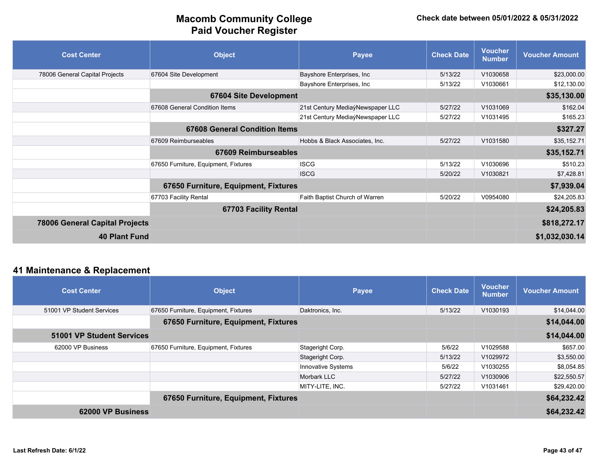| <b>Cost Center</b>                    | <b>Object</b>                        | <b>Payee</b>                     | <b>Check Date</b> | <b>Voucher</b><br><b>Number</b> | <b>Voucher Amount</b> |
|---------------------------------------|--------------------------------------|----------------------------------|-------------------|---------------------------------|-----------------------|
| 78006 General Capital Projects        | 67604 Site Development               | Bayshore Enterprises, Inc        | 5/13/22           | V1030658                        | \$23,000.00           |
|                                       |                                      | Bayshore Enterprises, Inc        | 5/13/22           | V1030661                        | \$12,130.00           |
|                                       | <b>67604 Site Development</b>        |                                  |                   |                                 | \$35,130.00           |
|                                       | 67608 General Condition Items        | 21st Century MediaýNewspaper LLC | 5/27/22           | V1031069                        | \$162.04              |
|                                       |                                      | 21st Century MediaýNewspaper LLC | 5/27/22           | V1031495                        | \$165.23              |
|                                       | <b>67608 General Condition Items</b> |                                  |                   |                                 | \$327.27              |
|                                       | 67609 Reimburseables                 | Hobbs & Black Associates, Inc.   | 5/27/22           | V1031580                        | \$35,152.71           |
|                                       | <b>67609 Reimburseables</b>          |                                  |                   |                                 | \$35,152.71           |
|                                       | 67650 Furniture, Equipment, Fixtures | <b>ISCG</b>                      | 5/13/22           | V1030696                        | \$510.23              |
|                                       |                                      | <b>ISCG</b>                      | 5/20/22           | V1030821                        | \$7,428.81            |
|                                       | 67650 Furniture, Equipment, Fixtures |                                  |                   |                                 | \$7,939.04            |
|                                       | 67703 Facility Rental                | Faith Baptist Church of Warren   | 5/20/22           | V0954080                        | \$24,205.83           |
|                                       | 67703 Facility Rental                |                                  |                   |                                 | \$24,205.83           |
| <b>78006 General Capital Projects</b> |                                      |                                  |                   |                                 | \$818,272.17          |
| <b>40 Plant Fund</b>                  |                                      |                                  |                   |                                 | \$1,032,030.14        |

### **41 Maintenance & Replacement**

| <b>Cost Center</b>               | <b>Object</b>                        | <b>Payee</b>       | <b>Check Date</b> | <b>Voucher</b><br><b>Number</b> | <b>Voucher Amount</b> |
|----------------------------------|--------------------------------------|--------------------|-------------------|---------------------------------|-----------------------|
| 51001 VP Student Services        | 67650 Furniture, Equipment, Fixtures | Daktronics, Inc.   | 5/13/22           | V1030193                        | \$14,044.00           |
|                                  | 67650 Furniture, Equipment, Fixtures |                    |                   |                                 | \$14,044.00           |
| <b>51001 VP Student Services</b> |                                      |                    |                   |                                 | \$14,044.00           |
| 62000 VP Business                | 67650 Furniture, Equipment, Fixtures | Stageright Corp.   | 5/6/22            | V1029588                        | \$657.00              |
|                                  |                                      | Stageright Corp.   | 5/13/22           | V1029972                        | \$3,550.00            |
|                                  |                                      | Innovative Systems | 5/6/22            | V1030255                        | \$8,054.85            |
|                                  |                                      | Morbark LLC        | 5/27/22           | V1030906                        | \$22,550.57           |
|                                  |                                      | MITY-LITE, INC.    | 5/27/22           | V1031461                        | \$29,420.00           |
|                                  | 67650 Furniture, Equipment, Fixtures |                    |                   |                                 | \$64,232.42           |
| 62000 VP Business                |                                      |                    |                   |                                 | \$64,232.42           |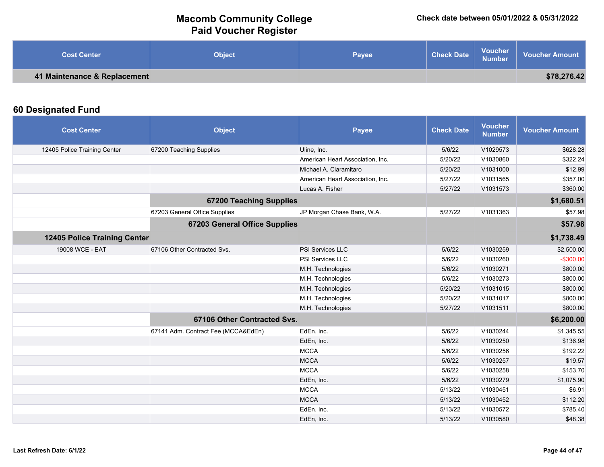| <b>Cost Center</b>           | <b>Object</b> | Payee | <b>Check Date</b> | <b>Voucher</b><br><b>Number</b> | <b>Voucher Amount</b> |
|------------------------------|---------------|-------|-------------------|---------------------------------|-----------------------|
| 41 Maintenance & Replacement |               |       |                   |                                 | \$78,276.42           |

### **60 Designated Fund**

| <b>Cost Center</b>           | <b>Object</b>                        | <b>Payee</b>                     | <b>Check Date</b> | <b>Voucher</b><br><b>Number</b> | <b>Voucher Amount</b> |
|------------------------------|--------------------------------------|----------------------------------|-------------------|---------------------------------|-----------------------|
| 12405 Police Training Center | 67200 Teaching Supplies              | Uline, Inc.                      | 5/6/22            | V1029573                        | \$628.28              |
|                              |                                      | American Heart Association, Inc. | 5/20/22           | V1030860                        | \$322.24              |
|                              |                                      | Michael A. Ciaramitaro           | 5/20/22           | V1031000                        | \$12.99               |
|                              |                                      | American Heart Association, Inc. | 5/27/22           | V1031565                        | \$357.00              |
|                              |                                      | Lucas A. Fisher                  | 5/27/22           | V1031573                        | \$360.00              |
|                              | <b>67200 Teaching Supplies</b>       |                                  |                   |                                 | \$1,680.51            |
|                              | 67203 General Office Supplies        | JP Morgan Chase Bank, W.A.       | 5/27/22           | V1031363                        | \$57.98               |
|                              | <b>67203 General Office Supplies</b> |                                  |                   |                                 | \$57.98               |
| 12405 Police Training Center |                                      |                                  |                   |                                 | \$1,738.49            |
| 19008 WCE - EAT              | 67106 Other Contracted Svs.          | PSI Services LLC                 | 5/6/22            | V1030259                        | \$2,500.00            |
|                              |                                      | PSI Services LLC                 | 5/6/22            | V1030260                        | $-$300.00$            |
|                              |                                      | M.H. Technologies                | 5/6/22            | V1030271                        | \$800.00              |
|                              |                                      | M.H. Technologies                | 5/6/22            | V1030273                        | \$800.00              |
|                              |                                      | M.H. Technologies                | 5/20/22           | V1031015                        | \$800.00              |
|                              |                                      | M.H. Technologies                | 5/20/22           | V1031017                        | \$800.00              |
|                              |                                      | M.H. Technologies                | 5/27/22           | V1031511                        | \$800.00              |
|                              | 67106 Other Contracted Svs.          |                                  |                   |                                 | \$6,200.00            |
|                              | 67141 Adm. Contract Fee (MCCA&EdEn)  | EdEn, Inc.                       | 5/6/22            | V1030244                        | \$1,345.55            |
|                              |                                      | EdEn, Inc.                       | 5/6/22            | V1030250                        | \$136.98              |
|                              |                                      | <b>MCCA</b>                      | 5/6/22            | V1030256                        | \$192.22              |
|                              |                                      | <b>MCCA</b>                      | 5/6/22            | V1030257                        | \$19.57               |
|                              |                                      | <b>MCCA</b>                      | 5/6/22            | V1030258                        | \$153.70              |
|                              |                                      | EdEn, Inc.                       | 5/6/22            | V1030279                        | \$1,075.90            |
|                              |                                      | <b>MCCA</b>                      | 5/13/22           | V1030451                        | \$6.91                |
|                              |                                      | <b>MCCA</b>                      | 5/13/22           | V1030452                        | \$112.20              |
|                              |                                      | EdEn, Inc.                       | 5/13/22           | V1030572                        | \$785.40              |
|                              |                                      | EdEn, Inc.                       | 5/13/22           | V1030580                        | \$48.38               |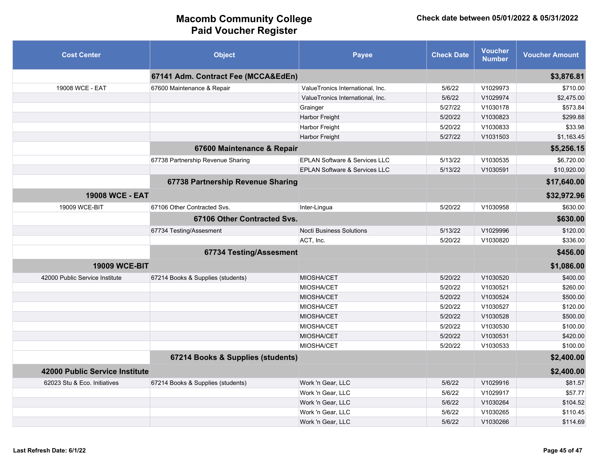| <b>Cost Center</b>             | <b>Object</b>                       | <b>Payee</b>                             | <b>Check Date</b> | <b>Voucher</b><br><b>Number</b> | <b>Voucher Amount</b> |
|--------------------------------|-------------------------------------|------------------------------------------|-------------------|---------------------------------|-----------------------|
|                                | 67141 Adm. Contract Fee (MCCA&EdEn) |                                          |                   |                                 | \$3,876.81            |
| 19008 WCE - EAT                | 67600 Maintenance & Repair          | ValueTronics International, Inc.         | 5/6/22            | V1029973                        | \$710.00              |
|                                |                                     | ValueTronics International, Inc.         | 5/6/22            | V1029974                        | \$2,475.00            |
|                                |                                     | Grainger                                 | 5/27/22           | V1030178                        | \$573.84              |
|                                |                                     | Harbor Freight                           | 5/20/22           | V1030823                        | \$299.88              |
|                                |                                     | Harbor Freight                           | 5/20/22           | V1030833                        | \$33.98               |
|                                |                                     | Harbor Freight                           | 5/27/22           | V1031503                        | \$1,163.45            |
|                                | 67600 Maintenance & Repair          |                                          |                   |                                 | \$5,256.15            |
|                                | 67738 Partnership Revenue Sharing   | EPLAN Software & Services LLC            | 5/13/22           | V1030535                        | \$6,720.00            |
|                                |                                     | <b>EPLAN Software &amp; Services LLC</b> | 5/13/22           | V1030591                        | \$10,920.00           |
|                                | 67738 Partnership Revenue Sharing   |                                          |                   |                                 | \$17,640.00           |
| <b>19008 WCE - EAT</b>         |                                     |                                          |                   |                                 | \$32,972.96           |
| 19009 WCE-BIT                  | 67106 Other Contracted Svs.         | Inter-Lingua                             | 5/20/22           | V1030958                        | \$630.00              |
|                                | 67106 Other Contracted Svs.         |                                          |                   |                                 | \$630.00              |
|                                | 67734 Testing/Assesment             | <b>Nocti Business Solutions</b>          | 5/13/22           | V1029996                        | \$120.00              |
|                                |                                     | ACT, Inc.                                | 5/20/22           | V1030820                        | \$336.00              |
|                                | 67734 Testing/Assesment             |                                          |                   |                                 | \$456.00              |
| <b>19009 WCE-BIT</b>           |                                     |                                          |                   |                                 | \$1,086.00            |
| 42000 Public Service Institute | 67214 Books & Supplies (students)   | <b>MIOSHA/CET</b>                        | 5/20/22           | V1030520                        | \$400.00              |
|                                |                                     | <b>MIOSHA/CET</b>                        | 5/20/22           | V1030521                        | \$260.00              |
|                                |                                     | <b>MIOSHA/CET</b>                        | 5/20/22           | V1030524                        | \$500.00              |
|                                |                                     | <b>MIOSHA/CET</b>                        | 5/20/22           | V1030527                        | \$120.00              |
|                                |                                     | <b>MIOSHA/CET</b>                        | 5/20/22           | V1030528                        | \$500.00              |
|                                |                                     | <b>MIOSHA/CET</b>                        | 5/20/22           | V1030530                        | \$100.00              |
|                                |                                     | <b>MIOSHA/CET</b>                        | 5/20/22           | V1030531                        | \$420.00              |
|                                |                                     | <b>MIOSHA/CET</b>                        | 5/20/22           | V1030533                        | \$100.00              |
|                                | 67214 Books & Supplies (students)   |                                          |                   |                                 | \$2,400.00            |
| 42000 Public Service Institute |                                     |                                          |                   |                                 | \$2,400.00            |
| 62023 Stu & Eco. Initiatives   | 67214 Books & Supplies (students)   | Work 'n Gear, LLC                        | 5/6/22            | V1029916                        | \$81.57               |
|                                |                                     | Work 'n Gear, LLC                        | 5/6/22            | V1029917                        | \$57.77               |
|                                |                                     | Work 'n Gear, LLC                        | 5/6/22            | V1030264                        | \$104.52              |
|                                |                                     | Work 'n Gear, LLC                        | 5/6/22            | V1030265                        | \$110.45              |
|                                |                                     | Work 'n Gear, LLC                        | 5/6/22            | V1030266                        | \$114.69              |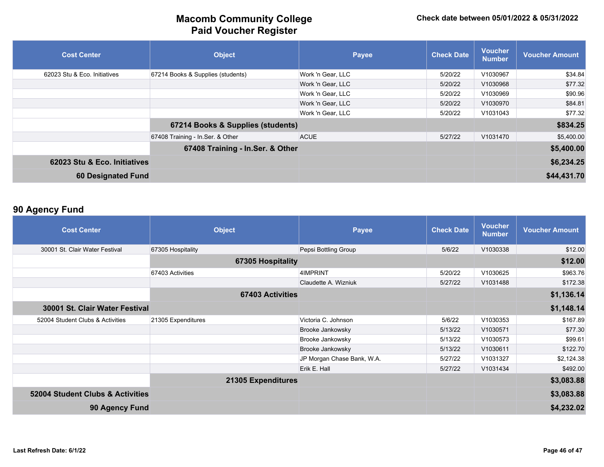| <b>Cost Center</b>           | <b>Object</b>                     | Payee             | <b>Check Date</b> | <b>Voucher</b><br><b>Number</b> | <b>Voucher Amount</b> |
|------------------------------|-----------------------------------|-------------------|-------------------|---------------------------------|-----------------------|
| 62023 Stu & Eco. Initiatives | 67214 Books & Supplies (students) | Work 'n Gear, LLC | 5/20/22           | V1030967                        | \$34.84               |
|                              |                                   | Work 'n Gear, LLC | 5/20/22           | V1030968                        | \$77.32               |
|                              |                                   | Work 'n Gear, LLC | 5/20/22           | V1030969                        | \$90.96               |
|                              |                                   | Work 'n Gear, LLC | 5/20/22           | V1030970                        | \$84.81               |
|                              |                                   | Work 'n Gear, LLC | 5/20/22           | V1031043                        | \$77.32               |
|                              | 67214 Books & Supplies (students) |                   |                   |                                 | \$834.25              |
|                              | 67408 Training - In Ser. & Other  | <b>ACUE</b>       | 5/27/22           | V1031470                        | \$5,400.00            |
|                              | 67408 Training - In.Ser. & Other  |                   |                   |                                 | \$5,400.00            |
| 62023 Stu & Eco. Initiatives |                                   |                   |                   |                                 | \$6,234.25            |
| <b>60 Designated Fund</b>    |                                   |                   |                   |                                 | \$44,431.70           |

### **90 Agency Fund**

| <b>Cost Center</b>               | <b>Object</b>           | <b>Payee</b>               | <b>Check Date</b> | <b>Voucher</b><br><b>Number</b> | <b>Voucher Amount</b> |
|----------------------------------|-------------------------|----------------------------|-------------------|---------------------------------|-----------------------|
| 30001 St. Clair Water Festival   | 67305 Hospitality       | Pepsi Bottling Group       | 5/6/22            | V1030338                        | \$12.00               |
|                                  | 67305 Hospitality       |                            |                   |                                 | \$12.00               |
|                                  | 67403 Activities        | 4IMPRINT                   | 5/20/22           | V1030625                        | \$963.76              |
|                                  |                         | Claudette A. Wizniuk       | 5/27/22           | V1031488                        | \$172.38              |
|                                  | <b>67403 Activities</b> |                            |                   |                                 | \$1,136.14            |
| 30001 St. Clair Water Festival   |                         |                            |                   |                                 | \$1,148.14            |
| 52004 Student Clubs & Activities | 21305 Expenditures      | Victoria C. Johnson        | 5/6/22            | V1030353                        | \$167.89              |
|                                  |                         | Brooke Jankowsky           | 5/13/22           | V1030571                        | \$77.30               |
|                                  |                         | Brooke Jankowsky           | 5/13/22           | V1030573                        | \$99.61               |
|                                  |                         | Brooke Jankowsky           | 5/13/22           | V1030611                        | \$122.70              |
|                                  |                         | JP Morgan Chase Bank, W.A. | 5/27/22           | V1031327                        | \$2,124.38            |
|                                  |                         | Erik E. Hall               | 5/27/22           | V1031434                        | \$492.00              |
|                                  | 21305 Expenditures      |                            |                   |                                 | \$3,083.88            |
| 52004 Student Clubs & Activities |                         |                            |                   |                                 | \$3,083.88            |
| 90 Agency Fund                   |                         |                            |                   |                                 | \$4,232.02            |